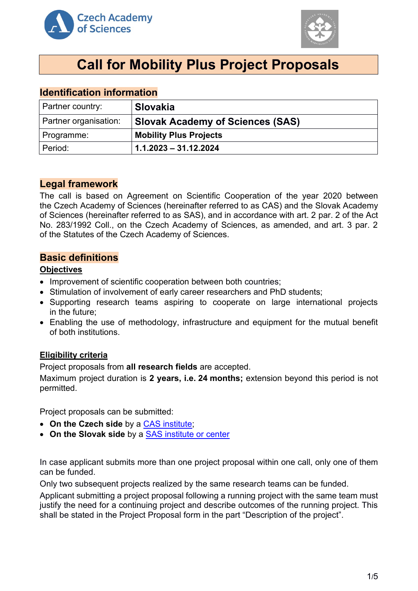



# **Call for Mobility Plus Project Proposals**

## **Identification information**

| Partner country:      | <b>Slovakia</b>                         |
|-----------------------|-----------------------------------------|
| Partner organisation: | <b>Slovak Academy of Sciences (SAS)</b> |
| Programme:            | <b>Mobility Plus Projects</b>           |
| Period:               | $1.1.2023 - 31.12.2024$                 |

## **Legal framework**

The call is based on Agreement on Scientific Cooperation of the year 2020 between the Czech Academy of Sciences (hereinafter referred to as CAS) and the Slovak Academy of Sciences (hereinafter referred to as SAS), and in accordance with art. 2 par. 2 of the Act No. 283/1992 Coll., on the Czech Academy of Sciences, as amended, and art. 3 par. 2 of the Statutes of the Czech Academy of Sciences.

## **Basic definitions**

#### **Objectives**

- Improvement of scientific cooperation between both countries;
- Stimulation of involvement of early career researchers and PhD students;
- Supporting research teams aspiring to cooperate on large international projects in the future;
- Enabling the use of methodology, infrastructure and equipment for the mutual benefit of both institutions.

## **Eligibility criteria**

Project proposals from **all research fields** are accepted.

Maximum project duration is **2 years, i.e. 24 months;** extension beyond this period is not permitted.

Project proposals can be submitted:

- **On the Czech side** by a [CAS institute;](http://www.avcr.cz/en/about-us/cas-structure/research-institutes/)
- **On the Slovak side** by a [SAS institute](https://www.sav.sk/?lang=en&doc=home-ins&odd=1) or center

In case applicant submits more than one project proposal within one call, only one of them can be funded.

Only two subsequent projects realized by the same research teams can be funded.

Applicant submitting a project proposal following a running project with the same team must justify the need for a continuing project and describe outcomes of the running project. This shall be stated in the Project Proposal form in the part "Description of the project".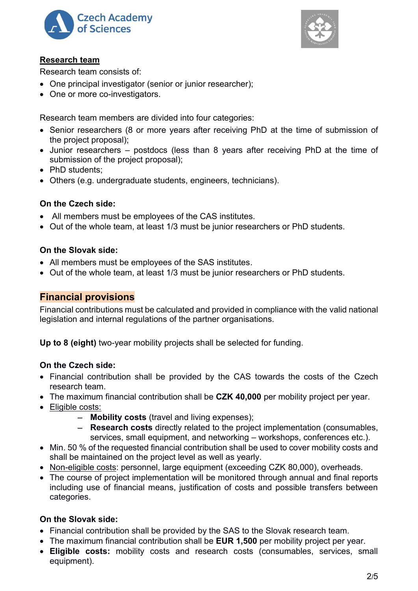



## **Research team**

Research team consists of:

- One principal investigator (senior or junior researcher);
- One or more co-investigators.

Research team members are divided into four categories:

- Senior researchers (8 or more years after receiving PhD at the time of submission of the project proposal);
- Junior researchers postdocs (less than 8 years after receiving PhD at the time of submission of the project proposal);
- PhD students:
- Others (e.g. undergraduate students, engineers, technicians).

## **On the Czech side:**

- All members must be employees of the CAS institutes.
- Out of the whole team, at least 1/3 must be junior researchers or PhD students.

## **On the Slovak side:**

- All members must be employees of the SAS institutes.
- Out of the whole team, at least 1/3 must be junior researchers or PhD students.

## **Financial provisions**

Financial contributions must be calculated and provided in compliance with the valid national legislation and internal regulations of the partner organisations.

**Up to 8 (eight)** two-year mobility projects shall be selected for funding.

## **On the Czech side:**

- Financial contribution shall be provided by the CAS towards the costs of the Czech research team.
- The maximum financial contribution shall be **CZK 40,000** per mobility project per year.
- Eligible costs:
	- − **Mobility costs** (travel and living expenses);
	- − **Research costs** directly related to the project implementation (consumables, services, small equipment, and networking – workshops, conferences etc.).
- Min. 50 % of the requested financial contribution shall be used to cover mobility costs and shall be maintained on the project level as well as yearly.
- Non-eligible costs: personnel, large equipment (exceeding CZK 80,000), overheads.
- The course of project implementation will be monitored through annual and final reports including use of financial means, justification of costs and possible transfers between categories.

## **On the Slovak side:**

- Financial contribution shall be provided by the SAS to the Slovak research team.
- The maximum financial contribution shall be **EUR 1,500** per mobility project per year.
- **Eligible costs:** mobility costs and research costs (consumables, services, small equipment).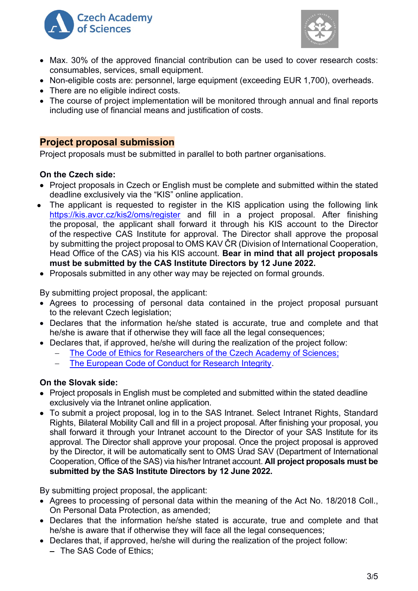



- Max. 30% of the approved financial contribution can be used to cover research costs: consumables, services, small equipment.
- Non-eligible costs are: personnel, large equipment (exceeding EUR 1,700), overheads.
- There are no eligible indirect costs.
- The course of project implementation will be monitored through annual and final reports including use of financial means and justification of costs.

## **Project proposal submission**

Project proposals must be submitted in parallel to both partner organisations.

## **On the Czech side:**

- Project proposals in Czech or English must be complete and submitted within the stated deadline exclusively via the "KIS" online application.
- The applicant is requested to register in the KIS application using the following link <https://kis.avcr.cz/kis2/oms/register> and fill in a project proposal. After finishing the proposal, the applicant shall forward it through his KIS account to the Director of the respective CAS Institute for approval. The Director shall approve the proposal by submitting the project proposal to OMS KAV ČR (Division of International Cooperation, Head Office of the CAS) via his KIS account. **Bear in mind that all project proposals must be submitted by the CAS Institute Directors by 12 June 2022.**
- Proposals submitted in any other way may be rejected on formal grounds.

By submitting project proposal, the applicant:

- Agrees to processing of personal data contained in the project proposal pursuant to the relevant Czech legislation;
- Declares that the information he/she stated is accurate, true and complete and that he/she is aware that if otherwise they will face all the legal consequences;
- Declares that, if approved, he/she will during the realization of the project follow:
	- The Code of Ethics for Researchers of [the Czech Academy of Sciences;](https://www.avcr.cz/en/about-us/legal-regulations/code-of-ethics-for-researchers-of-the-czech-academy-of-sciences/)
	- [The European Code of Conduct for Research Integrity.](http://www.allea.org/wp-content/uploads/2017/05/ALLEA-European-Code-of-Conduct-for-Research-Integrity-2017.pdf)

## **On the Slovak side:**

- Project proposals in English must be completed and submitted within the stated deadline exclusively via the Intranet online application.
- To submit a project proposal, log in to the SAS Intranet. Select Intranet Rights, Standard Rights, Bilateral Mobility Call and fill in a project proposal. After finishing your proposal, you shall forward it through your Intranet account to the Director of your SAS Institute for its approval. The Director shall approve your proposal. Once the project proposal is approved by the Director, it will be automatically sent to OMS Úrad SAV (Department of International Cooperation, Office of the SAS) via his/her Intranet account. **All project proposals must be submitted by the SAS Institute Directors by 12 June 2022.**

By submitting project proposal, the applicant:

- Agrees to processing of personal data within the meaning of the Act No. 18/2018 Coll., On Personal Data Protection, as amended;
- Declares that the information he/she stated is accurate, true and complete and that he/she is aware that if otherwise they will face all the legal consequences;
- Declares that, if approved, he/she will during the realization of the project follow:
	- − The SAS Code of Ethics;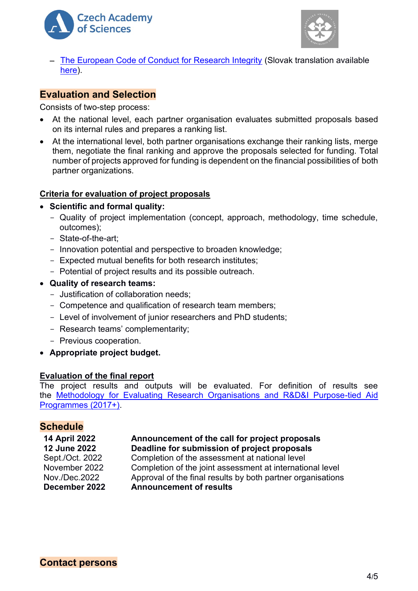



− [The European Code of Conduct for Research Integrity](http://www.allea.org/wp-content/uploads/2017/05/ALLEA-European-Code-of-Conduct-for-Research-Integrity-2017.pdf) (Slovak translation available [here\)](https://www.allea.org/wp-content/uploads/2018/11/ALLEA-European-Code-of-Conduct-for-Research-Integrity-2018-Slovak_dig.pdf).

## **Evaluation and Selection**

Consists of two-step process:

- At the national level, each partner organisation evaluates submitted proposals based on its internal rules and prepares a ranking list.
- At the international level, both partner organisations exchange their ranking lists, merge them, negotiate the final ranking and approve the proposals selected for funding. Total number of projects approved for funding is dependent on the financial possibilities of both partner organizations.

#### **Criteria for evaluation of project proposals**

- **Scientific and formal quality:** 
	- Quality of project implementation (concept, approach, methodology, time schedule, outcomes);
	- State-of-the-art;
	- Innovation potential and perspective to broaden knowledge;
	- Expected mutual benefits for both research institutes;
	- Potential of project results and its possible outreach.
- **Quality of research teams:**
	- Justification of collaboration needs;
	- Competence and qualification of research team members;
	- Level of involvement of junior researchers and PhD students;
	- Research teams' complementarity;
	- Previous cooperation.
- **Appropriate project budget.**

#### **Evaluation of the final report**

The project results and outputs will be evaluated. For definition of results see the Methodology for Evaluating [Research Organisations and R&D&I Purpose-tied Aid](https://www.vyzkum.cz/FrontClanek.aspx?idsekce=799796)  [Programmes \(2017+\).](https://www.vyzkum.cz/FrontClanek.aspx?idsekce=799796)

## **Schedule**

#### **14 April 2022 Announcement of the call for project proposals 12 June 2022 Deadline for submission of project proposals**

Sept./Oct. 2022 Completion of the assessment at national level November 2022 Completion of the joint assessment at international level Nov./Dec.2022 Approval of the final results by both partner organisations **December 2022 Announcement of results**